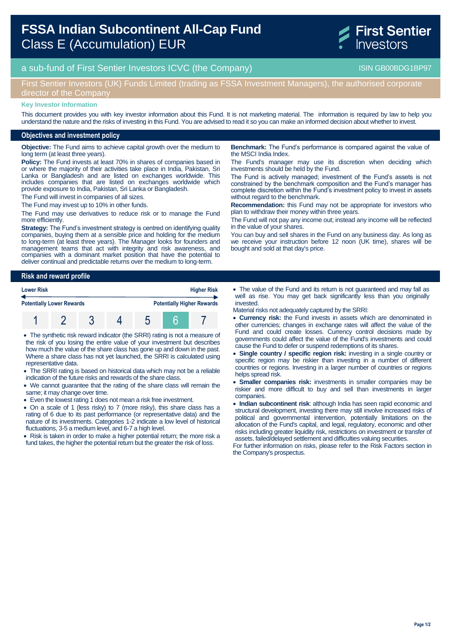# **FSSA Indian Subcontinent All-Cap Fund**  Class E (Accumulation) EUR



a sub-fund of First Sentier Investors ICVC (the Company) and the Company ISIN GB00BDG1BP97

## First Sentier Investors (UK) Funds Limited (trading as FSSA Investment Managers), the authorised corporate director of the Company

#### **Key Investor Information**

This document provides you with key investor information about this Fund. It is not marketing material. The information is required by law to help you understand the nature and the risks of investing in this Fund. You are advised to read it so you can make an informed decision about whether to invest.

### **Objectives and investment policy**

**Objective:** The Fund aims to achieve capital growth over the medium to long term (at least three years).

**Policy:** The Fund invests at least 70% in shares of companies based in or where the majority of their activities take place in India, Pakistan, Sri Lanka or Bangladesh and are listed on exchanges worldwide. This includes companies that are listed on exchanges worldwide which provide exposure to India, Pakistan, Sri Lanka or Bangladesh.

The Fund will invest in companies of all sizes.

The Fund may invest up to 10% in other funds.

The Fund may use derivatives to reduce risk or to manage the Fund more efficiently.

**Strategy:** The Fund's investment strategy is centred on identifying quality companies, buying them at a sensible price and holding for the medium to long-term (at least three years). The Manager looks for founders and management teams that act with integrity and risk awareness, and companies with a dominant market position that have the potential to deliver continual and predictable returns over the medium to long-term.

**Risk and reward profile**

| <b>Lower Risk</b><br><b>Potentially Lower Rewards</b> |  |  |  | <b>Higher Risk</b><br><b>Potentially Higher Rewards</b> |  |  |
|-------------------------------------------------------|--|--|--|---------------------------------------------------------|--|--|
|                                                       |  |  |  |                                                         |  |  |

 The synthetic risk reward indicator (the SRRI) rating is not a measure of the risk of you losing the entire value of your investment but describes how much the value of the share class has gone up and down in the past. Where a share class has not yet launched, the SRRI is calculated using representative data.

- The SRRI rating is based on historical data which may not be a reliable indication of the future risks and rewards of the share class.
- We cannot guarantee that the rating of the share class will remain the same; it may change over time.
- Even the lowest rating 1 does not mean a risk free investment.
- On a scale of 1 (less risky) to 7 (more risky), this share class has a rating of 6 due to its past performance (or representative data) and the nature of its investments. Categories 1-2 indicate a low level of historical fluctuations, 3-5 a medium level, and 6-7 a high level.

• Risk is taken in order to make a higher potential return; the more risk a fund takes, the higher the potential return but the greater the risk of loss.

**Benchmark:** The Fund's performance is compared against the value of the MSCI India Index.

The Fund's manager may use its discretion when deciding which investments should be held by the Fund.

The Fund is actively managed; investment of the Fund's assets is not constrained by the benchmark composition and the Fund's manager has complete discretion within the Fund's investment policy to invest in assets without regard to the benchmark.

**Recommendation:** this Fund may not be appropriate for investors who plan to withdraw their money within three years.

The Fund will not pay any income out; instead any income will be reflected in the value of your shares.

You can buy and sell shares in the Fund on any business day. As long as we receive your instruction before 12 noon (UK time), shares will be bought and sold at that day's price.

- The value of the Fund and its return is not guaranteed and may fall as well as rise. You may get back significantly less than you originally invested.
- Material risks not adequately captured by the SRRI:
- **Currency risk:** the Fund invests in assets which are denominated in other currencies; changes in exchange rates will affect the value of the Fund and could create losses. Currency control decisions made by governments could affect the value of the Fund's investments and could cause the Fund to defer or suspend redemptions of its shares.
- **Single country / specific region risk:** investing in a single country or specific region may be riskier than investing in a number of different countries or regions. Investing in a larger number of countries or regions helps spread risk.
- **Smaller companies risk:** investments in smaller companies may be riskier and more difficult to buy and sell than investments in larger companies.
- **Indian subcontinent risk**: although India has seen rapid economic and structural development, investing there may still involve increased risks of political and governmental intervention, potentially limitations on the allocation of the Fund's capital, and legal, regulatory, economic and other risks including greater liquidity risk, restrictions on investment or transfer of assets, failed/delayed settlement and difficulties valuing securities.

For further information on risks, please refer to the Risk Factors section in the Company's prospectus.